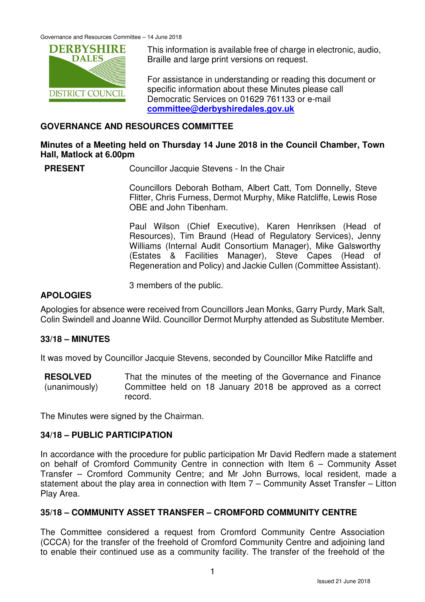

This information is available free of charge in electronic, audio, Braille and large print versions on request.

For assistance in understanding or reading this document or specific information about these Minutes please call Democratic Services on 01629 761133 or e-mail **committee@derbyshiredales.gov.uk**

## **GOVERNANCE AND RESOURCES COMMITTEE**

## **Minutes of a Meeting held on Thursday 14 June 2018 in the Council Chamber, Town Hall, Matlock at 6.00pm**

**PRESENT** Councillor Jacquie Stevens - In the Chair

 Councillors Deborah Botham, Albert Catt, Tom Donnelly, Steve Flitter, Chris Furness, Dermot Murphy, Mike Ratcliffe, Lewis Rose OBE and John Tibenham.

 Paul Wilson (Chief Executive), Karen Henriksen (Head of Resources), Tim Braund (Head of Regulatory Services), Jenny Williams (Internal Audit Consortium Manager), Mike Galsworthy (Estates & Facilities Manager), Steve Capes (Head of Regeneration and Policy) and Jackie Cullen (Committee Assistant).

3 members of the public.

## **APOLOGIES**

Apologies for absence were received from Councillors Jean Monks, Garry Purdy, Mark Salt, Colin Swindell and Joanne Wild. Councillor Dermot Murphy attended as Substitute Member.

## **33/18 – MINUTES**

It was moved by Councillor Jacquie Stevens, seconded by Councillor Mike Ratcliffe and

**RESOLVED** (unanimously) That the minutes of the meeting of the Governance and Finance Committee held on 18 January 2018 be approved as a correct record.

The Minutes were signed by the Chairman.

## **34/18 – PUBLIC PARTICIPATION**

In accordance with the procedure for public participation Mr David Redfern made a statement on behalf of Cromford Community Centre in connection with Item 6 – Community Asset Transfer – Cromford Community Centre; and Mr John Burrows, local resident, made a statement about the play area in connection with Item 7 – Community Asset Transfer – Litton Play Area.

## **35/18 – COMMUNITY ASSET TRANSFER – CROMFORD COMMUNITY CENTRE**

The Committee considered a request from Cromford Community Centre Association (CCCA) for the transfer of the freehold of Cromford Community Centre and adjoining land to enable their continued use as a community facility. The transfer of the freehold of the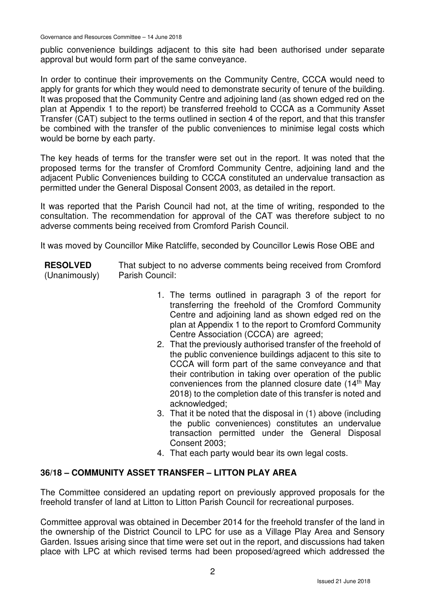Governance and Resources Committee – 14 June 2018

public convenience buildings adjacent to this site had been authorised under separate approval but would form part of the same conveyance.

In order to continue their improvements on the Community Centre, CCCA would need to apply for grants for which they would need to demonstrate security of tenure of the building. It was proposed that the Community Centre and adjoining land (as shown edged red on the plan at Appendix 1 to the report) be transferred freehold to CCCA as a Community Asset Transfer (CAT) subject to the terms outlined in section 4 of the report, and that this transfer be combined with the transfer of the public conveniences to minimise legal costs which would be borne by each party.

The key heads of terms for the transfer were set out in the report. It was noted that the proposed terms for the transfer of Cromford Community Centre, adjoining land and the adjacent Public Conveniences building to CCCA constituted an undervalue transaction as permitted under the General Disposal Consent 2003, as detailed in the report.

It was reported that the Parish Council had not, at the time of writing, responded to the consultation. The recommendation for approval of the CAT was therefore subject to no adverse comments being received from Cromford Parish Council.

It was moved by Councillor Mike Ratcliffe, seconded by Councillor Lewis Rose OBE and

**RESOLVED**

(Unanimously)

That subject to no adverse comments being received from Cromford Parish Council:

- 1. The terms outlined in paragraph 3 of the report for transferring the freehold of the Cromford Community Centre and adjoining land as shown edged red on the plan at Appendix 1 to the report to Cromford Community Centre Association (CCCA) are agreed;
- 2. That the previously authorised transfer of the freehold of the public convenience buildings adjacent to this site to CCCA will form part of the same conveyance and that their contribution in taking over operation of the public conveniences from the planned closure date (14<sup>th</sup> May 2018) to the completion date of this transfer is noted and acknowledged;
- 3. That it be noted that the disposal in (1) above (including the public conveniences) constitutes an undervalue transaction permitted under the General Disposal Consent 2003;
- 4. That each party would bear its own legal costs.

# **36/18 – COMMUNITY ASSET TRANSFER – LITTON PLAY AREA**

The Committee considered an updating report on previously approved proposals for the freehold transfer of land at Litton to Litton Parish Council for recreational purposes.

Committee approval was obtained in December 2014 for the freehold transfer of the land in the ownership of the District Council to LPC for use as a Village Play Area and Sensory Garden. Issues arising since that time were set out in the report, and discussions had taken place with LPC at which revised terms had been proposed/agreed which addressed the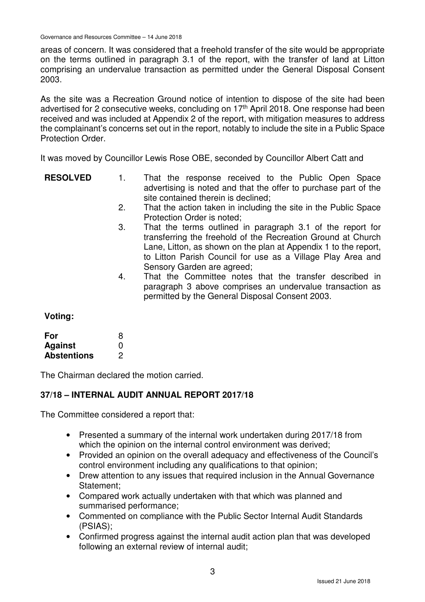Governance and Resources Committee – 14 June 2018

areas of concern. It was considered that a freehold transfer of the site would be appropriate on the terms outlined in paragraph 3.1 of the report, with the transfer of land at Litton comprising an undervalue transaction as permitted under the General Disposal Consent 2003.

As the site was a Recreation Ground notice of intention to dispose of the site had been advertised for 2 consecutive weeks, concluding on 17<sup>th</sup> April 2018. One response had been received and was included at Appendix 2 of the report, with mitigation measures to address the complainant's concerns set out in the report, notably to include the site in a Public Space Protection Order.

It was moved by Councillor Lewis Rose OBE, seconded by Councillor Albert Catt and

- **RESOLVED** 1. That the response received to the Public Open Space advertising is noted and that the offer to purchase part of the site contained therein is declined;
	- 2. That the action taken in including the site in the Public Space Protection Order is noted;
	- 3. That the terms outlined in paragraph 3.1 of the report for transferring the freehold of the Recreation Ground at Church Lane, Litton, as shown on the plan at Appendix 1 to the report, to Litton Parish Council for use as a Village Play Area and Sensory Garden are agreed;
	- 4. That the Committee notes that the transfer described in paragraph 3 above comprises an undervalue transaction as permitted by the General Disposal Consent 2003.

# **Voting:**

| For                | 8 |
|--------------------|---|
| <b>Against</b>     | O |
| <b>Abstentions</b> | 2 |

The Chairman declared the motion carried.

# **37/18 – INTERNAL AUDIT ANNUAL REPORT 2017/18**

The Committee considered a report that:

- Presented a summary of the internal work undertaken during 2017/18 from which the opinion on the internal control environment was derived:
- Provided an opinion on the overall adequacy and effectiveness of the Council's control environment including any qualifications to that opinion;
- Drew attention to any issues that required inclusion in the Annual Governance Statement;
- Compared work actually undertaken with that which was planned and summarised performance;
- Commented on compliance with the Public Sector Internal Audit Standards (PSIAS);
- Confirmed progress against the internal audit action plan that was developed following an external review of internal audit;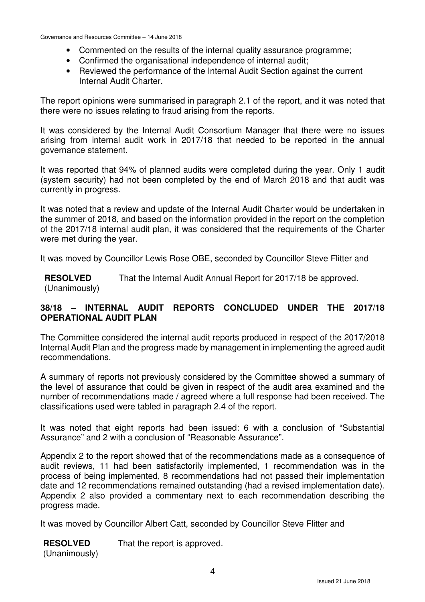- Commented on the results of the internal quality assurance programme;
- Confirmed the organisational independence of internal audit;
- Reviewed the performance of the Internal Audit Section against the current Internal Audit Charter.

The report opinions were summarised in paragraph 2.1 of the report, and it was noted that there were no issues relating to fraud arising from the reports.

It was considered by the Internal Audit Consortium Manager that there were no issues arising from internal audit work in 2017/18 that needed to be reported in the annual governance statement.

It was reported that 94% of planned audits were completed during the year. Only 1 audit (system security) had not been completed by the end of March 2018 and that audit was currently in progress.

It was noted that a review and update of the Internal Audit Charter would be undertaken in the summer of 2018, and based on the information provided in the report on the completion of the 2017/18 internal audit plan, it was considered that the requirements of the Charter were met during the year.

It was moved by Councillor Lewis Rose OBE, seconded by Councillor Steve Flitter and

**RESOLVED** (Unanimously) That the Internal Audit Annual Report for 2017/18 be approved.

## **38/18 – INTERNAL AUDIT REPORTS CONCLUDED UNDER THE 2017/18 OPERATIONAL AUDIT PLAN**

The Committee considered the internal audit reports produced in respect of the 2017/2018 Internal Audit Plan and the progress made by management in implementing the agreed audit recommendations.

A summary of reports not previously considered by the Committee showed a summary of the level of assurance that could be given in respect of the audit area examined and the number of recommendations made / agreed where a full response had been received. The classifications used were tabled in paragraph 2.4 of the report.

It was noted that eight reports had been issued: 6 with a conclusion of "Substantial Assurance" and 2 with a conclusion of "Reasonable Assurance".

Appendix 2 to the report showed that of the recommendations made as a consequence of audit reviews, 11 had been satisfactorily implemented, 1 recommendation was in the process of being implemented, 8 recommendations had not passed their implementation date and 12 recommendations remained outstanding (had a revised implementation date). Appendix 2 also provided a commentary next to each recommendation describing the progress made.

It was moved by Councillor Albert Catt, seconded by Councillor Steve Flitter and

| <b>RESOLVED</b> | That the report is approved. |
|-----------------|------------------------------|
| (Unanimously)   |                              |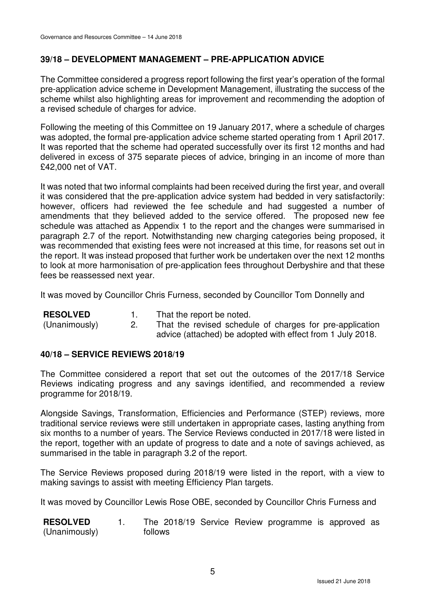# **39/18 – DEVELOPMENT MANAGEMENT – PRE-APPLICATION ADVICE**

The Committee considered a progress report following the first year's operation of the formal pre-application advice scheme in Development Management, illustrating the success of the scheme whilst also highlighting areas for improvement and recommending the adoption of a revised schedule of charges for advice.

Following the meeting of this Committee on 19 January 2017, where a schedule of charges was adopted, the formal pre-application advice scheme started operating from 1 April 2017. It was reported that the scheme had operated successfully over its first 12 months and had delivered in excess of 375 separate pieces of advice, bringing in an income of more than £42,000 net of VAT.

It was noted that two informal complaints had been received during the first year, and overall it was considered that the pre-application advice system had bedded in very satisfactorily: however, officers had reviewed the fee schedule and had suggested a number of amendments that they believed added to the service offered. The proposed new fee schedule was attached as Appendix 1 to the report and the changes were summarised in paragraph 2.7 of the report. Notwithstanding new charging categories being proposed, it was recommended that existing fees were not increased at this time, for reasons set out in the report. It was instead proposed that further work be undertaken over the next 12 months to look at more harmonisation of pre-application fees throughout Derbyshire and that these fees be reassessed next year.

It was moved by Councillor Chris Furness, seconded by Councillor Tom Donnelly and

| <b>RESOLVED</b> | That the report be noted. |
|-----------------|---------------------------|
|-----------------|---------------------------|

(Unanimously) 2. That the revised schedule of charges for pre-application advice (attached) be adopted with effect from 1 July 2018.

# **40/18 – SERVICE REVIEWS 2018/19**

The Committee considered a report that set out the outcomes of the 2017/18 Service Reviews indicating progress and any savings identified, and recommended a review programme for 2018/19.

Alongside Savings, Transformation, Efficiencies and Performance (STEP) reviews, more traditional service reviews were still undertaken in appropriate cases, lasting anything from six months to a number of years. The Service Reviews conducted in 2017/18 were listed in the report, together with an update of progress to date and a note of savings achieved, as summarised in the table in paragraph 3.2 of the report.

The Service Reviews proposed during 2018/19 were listed in the report, with a view to making savings to assist with meeting Efficiency Plan targets.

It was moved by Councillor Lewis Rose OBE, seconded by Councillor Chris Furness and

**RESOLVED** (Unanimously) 1. The 2018/19 Service Review programme is approved as follows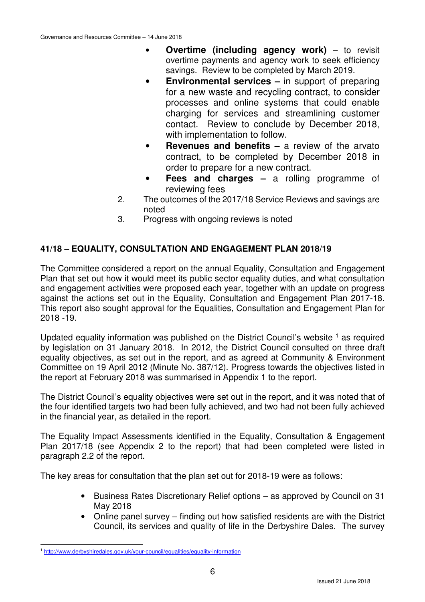- **Overtime (including agency work)** to revisit overtime payments and agency work to seek efficiency savings. Review to be completed by March 2019.
- **Environmental services** in support of preparing for a new waste and recycling contract, to consider processes and online systems that could enable charging for services and streamlining customer contact. Review to conclude by December 2018, with implementation to follow.
- **Revenues and benefits** a review of the arvato contract, to be completed by December 2018 in order to prepare for a new contract.
- **Fees and charges a rolling programme of** reviewing fees
- 2. The outcomes of the 2017/18 Service Reviews and savings are noted
- 3. Progress with ongoing reviews is noted

# **41/18 – EQUALITY, CONSULTATION AND ENGAGEMENT PLAN 2018/19**

The Committee considered a report on the annual Equality, Consultation and Engagement Plan that set out how it would meet its public sector equality duties, and what consultation and engagement activities were proposed each year, together with an update on progress against the actions set out in the Equality, Consultation and Engagement Plan 2017-18. This report also sought approval for the Equalities, Consultation and Engagement Plan for 2018 -19.

Updated equality information was published on the District Council's website  $<sup>1</sup>$  as required</sup> by legislation on 31 January 2018. In 2012, the District Council consulted on three draft equality objectives, as set out in the report, and as agreed at Community & Environment Committee on 19 April 2012 (Minute No. 387/12). Progress towards the objectives listed in the report at February 2018 was summarised in Appendix 1 to the report.

The District Council's equality objectives were set out in the report, and it was noted that of the four identified targets two had been fully achieved, and two had not been fully achieved in the financial year, as detailed in the report.

The Equality Impact Assessments identified in the Equality, Consultation & Engagement Plan 2017/18 (see Appendix 2 to the report) that had been completed were listed in paragraph 2.2 of the report.

The key areas for consultation that the plan set out for 2018-19 were as follows:

- Business Rates Discretionary Relief options as approved by Council on 31 May 2018
- Online panel survey finding out how satisfied residents are with the District Council, its services and quality of life in the Derbyshire Dales. The survey

 $\overline{a}$ <sup>1</sup> http://www.derbyshiredales.gov.uk/your-council/equalities/equality-information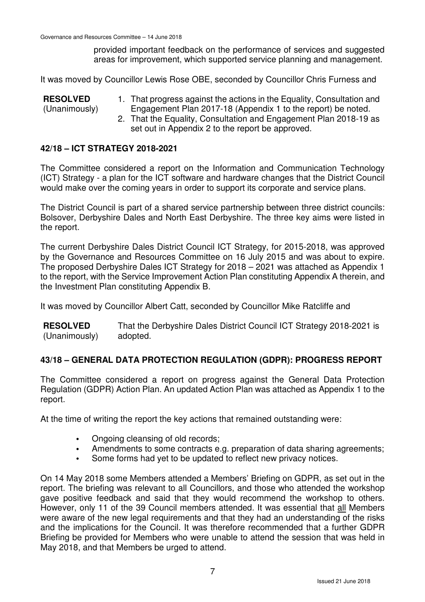provided important feedback on the performance of services and suggested areas for improvement, which supported service planning and management.

It was moved by Councillor Lewis Rose OBE, seconded by Councillor Chris Furness and

**RESOLVED** (Unanimously) 1. That progress against the actions in the Equality, Consultation and Engagement Plan 2017-18 (Appendix 1 to the report) be noted.

2. That the Equality, Consultation and Engagement Plan 2018-19 as set out in Appendix 2 to the report be approved.

## **42/18 – ICT STRATEGY 2018-2021**

The Committee considered a report on the Information and Communication Technology (ICT) Strategy - a plan for the ICT software and hardware changes that the District Council would make over the coming years in order to support its corporate and service plans.

The District Council is part of a shared service partnership between three district councils: Bolsover, Derbyshire Dales and North East Derbyshire. The three key aims were listed in the report.

The current Derbyshire Dales District Council ICT Strategy, for 2015-2018, was approved by the Governance and Resources Committee on 16 July 2015 and was about to expire. The proposed Derbyshire Dales ICT Strategy for 2018 – 2021 was attached as Appendix 1 to the report, with the Service Improvement Action Plan constituting Appendix A therein, and the Investment Plan constituting Appendix B.

It was moved by Councillor Albert Catt, seconded by Councillor Mike Ratcliffe and

**RESOLVED** (Unanimously) That the Derbyshire Dales District Council ICT Strategy 2018-2021 is adopted.

# **43/18 – GENERAL DATA PROTECTION REGULATION (GDPR): PROGRESS REPORT**

The Committee considered a report on progress against the General Data Protection Regulation (GDPR) Action Plan. An updated Action Plan was attached as Appendix 1 to the report.

At the time of writing the report the key actions that remained outstanding were:

- Ongoing cleansing of old records;
- Amendments to some contracts e.g. preparation of data sharing agreements;
- Some forms had yet to be updated to reflect new privacy notices.

On 14 May 2018 some Members attended a Members' Briefing on GDPR, as set out in the report. The briefing was relevant to all Councillors, and those who attended the workshop gave positive feedback and said that they would recommend the workshop to others. However, only 11 of the 39 Council members attended. It was essential that all Members were aware of the new legal requirements and that they had an understanding of the risks and the implications for the Council. It was therefore recommended that a further GDPR Briefing be provided for Members who were unable to attend the session that was held in May 2018, and that Members be urged to attend.